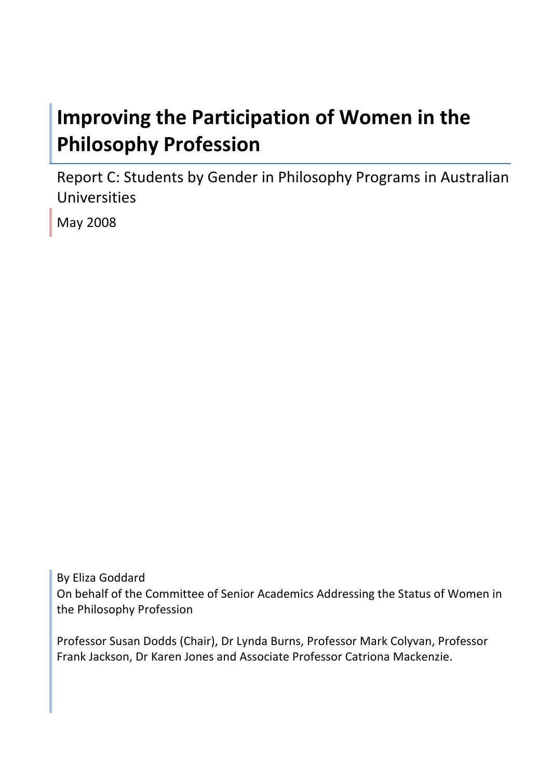# **Improving the Participation of Women in the Philosophy Profession**

Report C: Students by Gender in Philosophy Programs in Australian Universities

May 2008

By Eliza Goddard On behalf of the Committee of Senior Academics Addressing the Status of Women in the Philosophy Profession

Professor Susan Dodds (Chair), Dr Lynda Burns, Professor Mark Colyvan, Professor Frank Jackson, Dr Karen Jones and Associate Professor Catriona Mackenzie.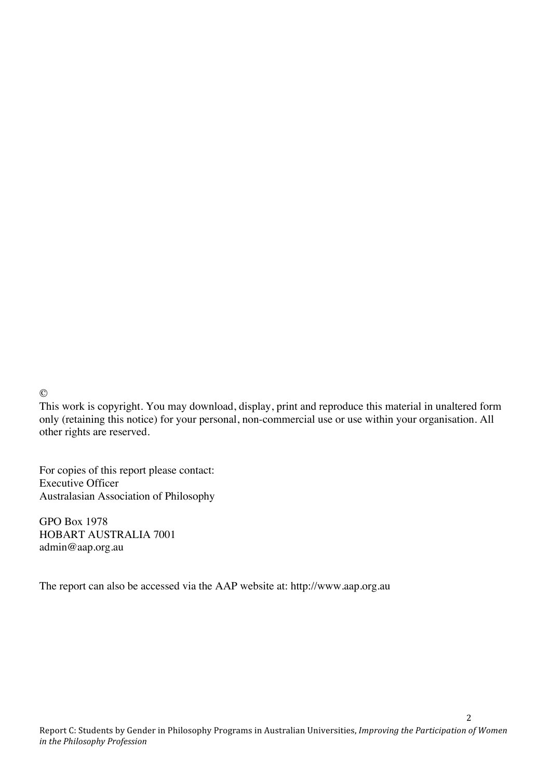©

This work is copyright. You may download, display, print and reproduce this material in unaltered form only (retaining this notice) for your personal, non-commercial use or use within your organisation. All other rights are reserved.

For copies of this report please contact: Executive Officer Australasian Association of Philosophy

GPO Box 1978 HOBART AUSTRALIA 7001 admin@aap.org.au

The report can also be accessed via the AAP website at: http://www.aap.org.au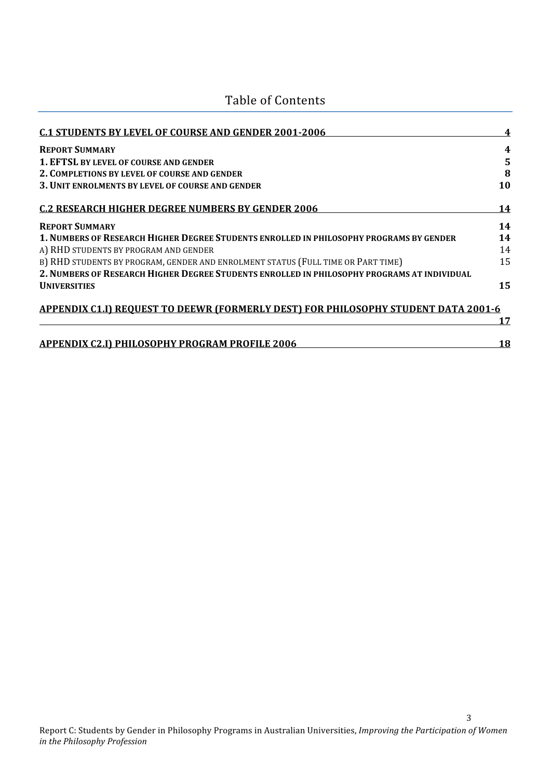| <b>C.1 STUDENTS BY LEVEL OF COURSE AND GENDER 2001-2006</b>                                 | 4  |
|---------------------------------------------------------------------------------------------|----|
| <b>REPORT SUMMARY</b>                                                                       | 4  |
| <b>1. EFTSL BY LEVEL OF COURSE AND GENDER</b>                                               | 5  |
| 2. COMPLETIONS BY LEVEL OF COURSE AND GENDER                                                | 8  |
| 3. UNIT ENROLMENTS BY LEVEL OF COURSE AND GENDER                                            | 10 |
| <b>C.2 RESEARCH HIGHER DEGREE NUMBERS BY GENDER 2006</b>                                    | 14 |
| <b>REPORT SUMMARY</b>                                                                       | 14 |
| 1. NUMBERS OF RESEARCH HIGHER DEGREE STUDENTS ENROLLED IN PHILOSOPHY PROGRAMS BY GENDER     | 14 |
| A) RHD STUDENTS BY PROGRAM AND GENDER                                                       | 14 |
| B) RHD STUDENTS BY PROGRAM, GENDER AND ENROLMENT STATUS (FULL TIME OR PART TIME)            | 15 |
| 2. NUMBERS OF RESEARCH HIGHER DEGREE STUDENTS ENROLLED IN PHILOSOPHY PROGRAMS AT INDIVIDUAL |    |
| <b>UNIVERSITIES</b>                                                                         | 15 |
| <b>APPENDIX C1.I) REQUEST TO DEEWR (FORMERLY DEST) FOR PHILOSOPHY STUDENT DATA 2001-6</b>   |    |
|                                                                                             | 17 |
| <b>APPENDIX C2.I) PHILOSOPHY PROGRAM PROFILE 2006</b>                                       |    |

Table of Contents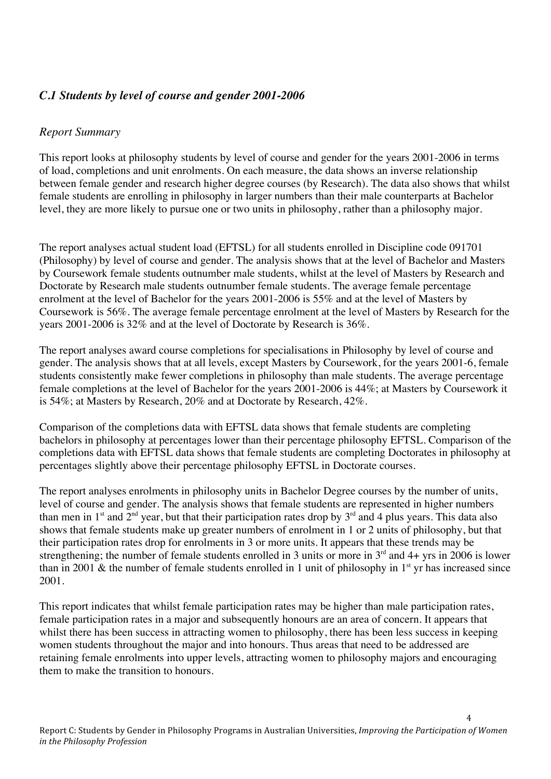# *C.1 Students by level of course and gender 2001-2006*

### *Report Summary*

This report looks at philosophy students by level of course and gender for the years 2001-2006 in terms of load, completions and unit enrolments. On each measure, the data shows an inverse relationship between female gender and research higher degree courses (by Research). The data also shows that whilst female students are enrolling in philosophy in larger numbers than their male counterparts at Bachelor level, they are more likely to pursue one or two units in philosophy, rather than a philosophy major.

The report analyses actual student load (EFTSL) for all students enrolled in Discipline code 091701 (Philosophy) by level of course and gender. The analysis shows that at the level of Bachelor and Masters by Coursework female students outnumber male students, whilst at the level of Masters by Research and Doctorate by Research male students outnumber female students. The average female percentage enrolment at the level of Bachelor for the years 2001-2006 is 55% and at the level of Masters by Coursework is 56%. The average female percentage enrolment at the level of Masters by Research for the years 2001-2006 is 32% and at the level of Doctorate by Research is 36%.

The report analyses award course completions for specialisations in Philosophy by level of course and gender. The analysis shows that at all levels, except Masters by Coursework, for the years 2001-6, female students consistently make fewer completions in philosophy than male students. The average percentage female completions at the level of Bachelor for the years 2001-2006 is 44%; at Masters by Coursework it is 54%; at Masters by Research, 20% and at Doctorate by Research, 42%.

Comparison of the completions data with EFTSL data shows that female students are completing bachelors in philosophy at percentages lower than their percentage philosophy EFTSL. Comparison of the completions data with EFTSL data shows that female students are completing Doctorates in philosophy at percentages slightly above their percentage philosophy EFTSL in Doctorate courses.

The report analyses enrolments in philosophy units in Bachelor Degree courses by the number of units, level of course and gender. The analysis shows that female students are represented in higher numbers than men in  $1<sup>st</sup>$  and  $2<sup>nd</sup>$  year, but that their participation rates drop by  $3<sup>rd</sup>$  and 4 plus years. This data also shows that female students make up greater numbers of enrolment in 1 or 2 units of philosophy, but that their participation rates drop for enrolments in 3 or more units. It appears that these trends may be strengthening; the number of female students enrolled in 3 units or more in  $3<sup>rd</sup>$  and  $4+$  yrs in 2006 is lower than in 2001 & the number of female students enrolled in 1 unit of philosophy in  $1<sup>st</sup>$  yr has increased since 2001.

This report indicates that whilst female participation rates may be higher than male participation rates, female participation rates in a major and subsequently honours are an area of concern. It appears that whilst there has been success in attracting women to philosophy, there has been less success in keeping women students throughout the major and into honours. Thus areas that need to be addressed are retaining female enrolments into upper levels, attracting women to philosophy majors and encouraging them to make the transition to honours.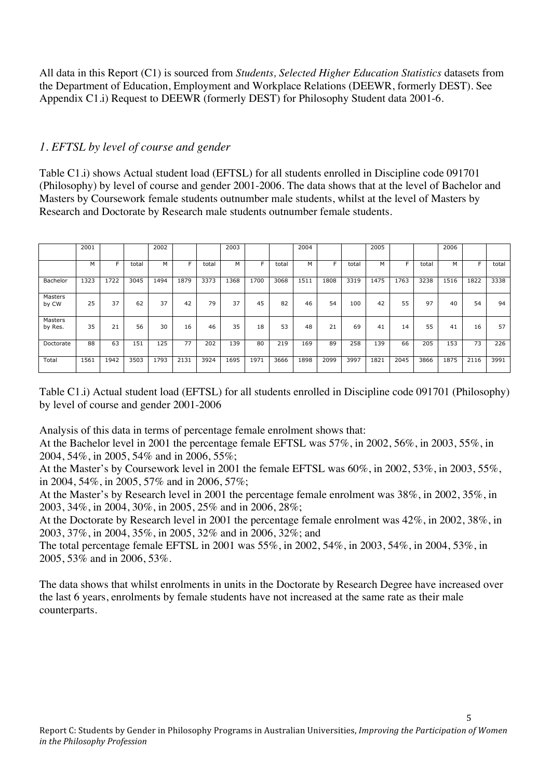All data in this Report (C1) is sourced from *Students, Selected Higher Education Statistics* datasets from the Department of Education, Employment and Workplace Relations (DEEWR, formerly DEST). See Appendix C1.i) Request to DEEWR (formerly DEST) for Philosophy Student data 2001-6.

## *1. EFTSL by level of course and gender*

Table C1.i) shows Actual student load (EFTSL) for all students enrolled in Discipline code 091701 (Philosophy) by level of course and gender 2001-2006. The data shows that at the level of Bachelor and Masters by Coursework female students outnumber male students, whilst at the level of Masters by Research and Doctorate by Research male students outnumber female students.

|                    | 2001 |      |       | 2002 |      |       | 2003 |      |       | 2004 |      |       | 2005 |      |       | 2006 |      |       |
|--------------------|------|------|-------|------|------|-------|------|------|-------|------|------|-------|------|------|-------|------|------|-------|
|                    | М    | F    | total | M    | F.   | total | М    | F    | total | М    | F.   | total | M    | F    | total | м    | F    | total |
| Bachelor           | 1323 | 1722 | 3045  | 1494 | 1879 | 3373  | 1368 | 1700 | 3068  | 1511 | 1808 | 3319  | 1475 | 1763 | 3238  | 1516 | 1822 | 3338  |
| Masters<br>by CW   | 25   | 37   | 62    | 37   | 42   | 79    | 37   | 45   | 82    | 46   | 54   | 100   | 42   | 55   | 97    | 40   | 54   | 94    |
| Masters<br>by Res. | 35   | 21   | 56    | 30   | 16   | 46    | 35   | 18   | 53    | 48   | 21   | 69    | 41   | 14   | 55    | 41   | 16   | 57    |
| Doctorate          | 88   | 63   | 151   | 125  | 77   | 202   | 139  | 80   | 219   | 169  | 89   | 258   | 139  | 66   | 205   | 153  | 73   | 226   |
| Total              | 1561 | 1942 | 3503  | 1793 | 2131 | 3924  | 1695 | 1971 | 3666  | 1898 | 2099 | 3997  | 1821 | 2045 | 3866  | 1875 | 2116 | 3991  |

Table C1.i) Actual student load (EFTSL) for all students enrolled in Discipline code 091701 (Philosophy) by level of course and gender 2001-2006

Analysis of this data in terms of percentage female enrolment shows that:

At the Bachelor level in 2001 the percentage female EFTSL was 57%, in 2002, 56%, in 2003, 55%, in 2004, 54%, in 2005, 54% and in 2006, 55%;

At the Master's by Coursework level in 2001 the female EFTSL was 60%, in 2002, 53%, in 2003, 55%, in 2004, 54%, in 2005, 57% and in 2006, 57%;

At the Master's by Research level in 2001 the percentage female enrolment was 38%, in 2002, 35%, in 2003, 34%, in 2004, 30%, in 2005, 25% and in 2006, 28%;

At the Doctorate by Research level in 2001 the percentage female enrolment was 42%, in 2002, 38%, in 2003, 37%, in 2004, 35%, in 2005, 32% and in 2006, 32%; and

The total percentage female EFTSL in 2001 was 55%, in 2002, 54%, in 2003, 54%, in 2004, 53%, in 2005, 53% and in 2006, 53%.

The data shows that whilst enrolments in units in the Doctorate by Research Degree have increased over the last 6 years, enrolments by female students have not increased at the same rate as their male counterparts.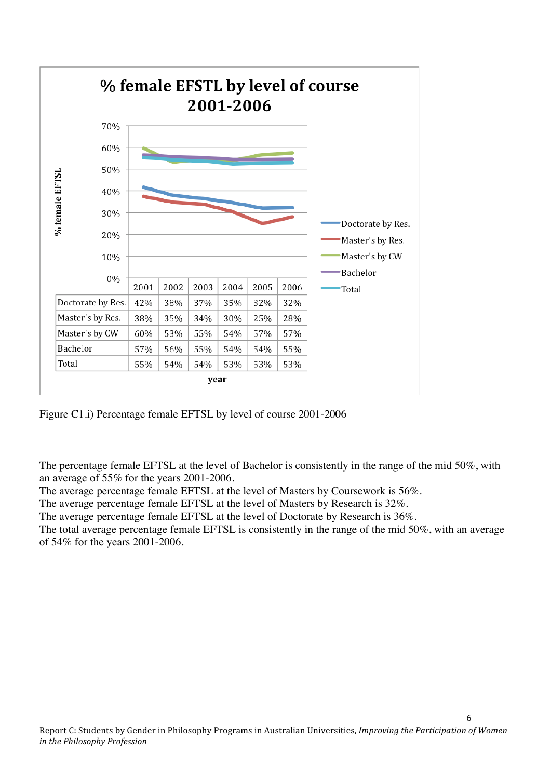

Figure C1.i) Percentage female EFTSL by level of course 2001-2006

The percentage female EFTSL at the level of Bachelor is consistently in the range of the mid 50%, with an average of 55% for the years 2001-2006.

The average percentage female EFTSL at the level of Masters by Coursework is 56%.

The average percentage female EFTSL at the level of Masters by Research is 32%.

The average percentage female EFTSL at the level of Doctorate by Research is 36%.

The total average percentage female EFTSL is consistently in the range of the mid 50%, with an average of 54% for the years 2001-2006.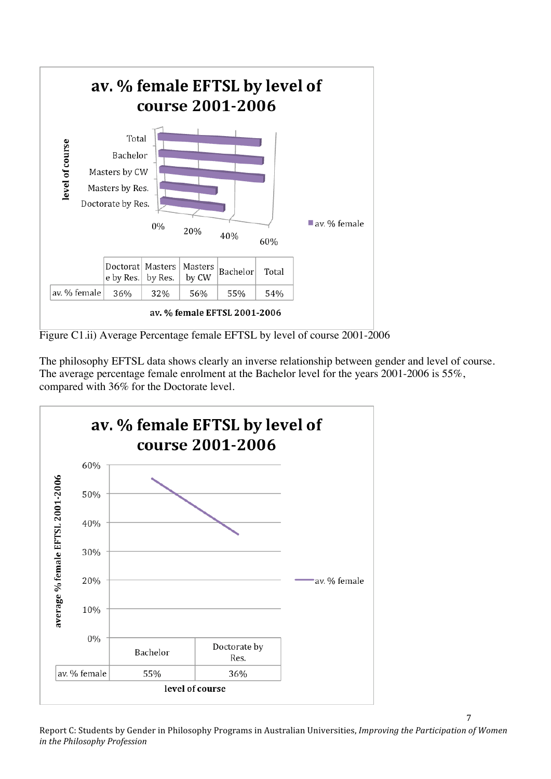

Figure C1.ii) Average Percentage female EFTSL by level of course 2001-2006

The philosophy EFTSL data shows clearly an inverse relationship between gender and level of course. The average percentage female enrolment at the Bachelor level for the years 2001-2006 is 55%, compared with 36% for the Doctorate level.

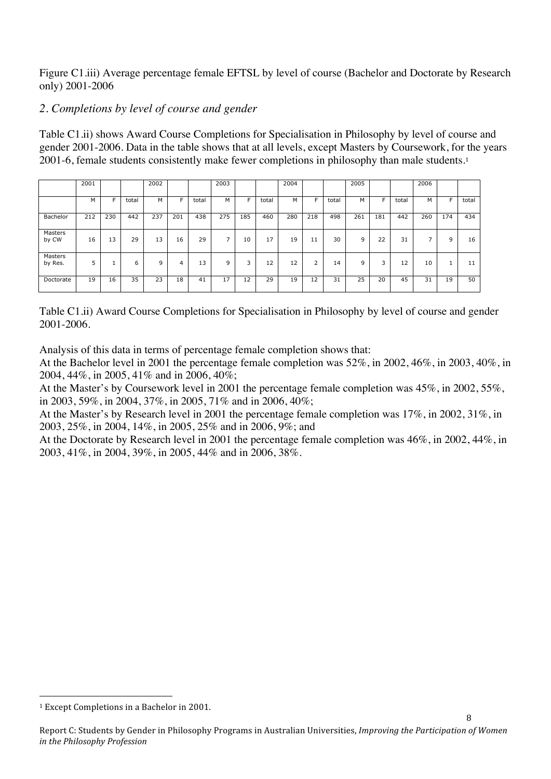Figure C1.iii) Average percentage female EFTSL by level of course (Bachelor and Doctorate by Research only) 2001-2006

# *2. Completions by level of course and gender*

Table C1.ii) shows Award Course Completions for Specialisation in Philosophy by level of course and gender 2001-2006. Data in the table shows that at all levels, except Masters by Coursework, for the years 2001-6, female students consistently make fewer completions in philosophy than male students.<sup>1</sup>

|                    | 2001 |     |       | 2002         |     |       | 2003                     |     |       | 2004 |                |       | 2005 |     |       | 2006                     |     |       |
|--------------------|------|-----|-------|--------------|-----|-------|--------------------------|-----|-------|------|----------------|-------|------|-----|-------|--------------------------|-----|-------|
|                    | м    | F   | total | M            | F   | total | М                        | F   | total | м    |                | total | M    | F   | total | М                        |     | total |
| Bachelor           | 212  | 230 | 442   | 237          | 201 | 438   | 275                      | 185 | 460   | 280  | 218            | 498   | 261  | 181 | 442   | 260                      | 174 | 434   |
| Masters<br>by CW   | 16   | 13  | 29    | 13           | 16  | 29    | $\overline{\phantom{0}}$ | 10  | 17    | 19   | 11             | 30    | 9    | 22  | 31    | $\overline{\phantom{1}}$ | 9   | 16    |
| Masters<br>by Res. | 5    |     | 6     | $\mathsf{Q}$ | 4   | 13    | 9                        | 3   | 12    | 12   | $\overline{2}$ | 14    | 9    | 3   | 12    | 10                       |     | 11    |
| Doctorate          | 19   | 16  | 35    | 23           | 18  | 41    | 17                       | 12  | 29    | 19   | 12             | 31    | 25   | 20  | 45    | 31                       | 19  | 50    |

Table C1.ii) Award Course Completions for Specialisation in Philosophy by level of course and gender 2001-2006.

Analysis of this data in terms of percentage female completion shows that:

At the Bachelor level in 2001 the percentage female completion was 52%, in 2002, 46%, in 2003, 40%, in 2004, 44%, in 2005, 41% and in 2006, 40%;

At the Master's by Coursework level in 2001 the percentage female completion was 45%, in 2002, 55%, in 2003, 59%, in 2004, 37%, in 2005, 71% and in 2006, 40%;

At the Master's by Research level in 2001 the percentage female completion was 17%, in 2002, 31%, in 2003, 25%, in 2004, 14%, in 2005, 25% and in 2006, 9%; and

At the Doctorate by Research level in 2001 the percentage female completion was 46%, in 2002, 44%, in 2003, 41%, in 2004, 39%, in 2005, 44% and in 2006, 38%.

 $\overline{a}$ 

<sup>1</sup> Except Completions in a Bachelor in 2001.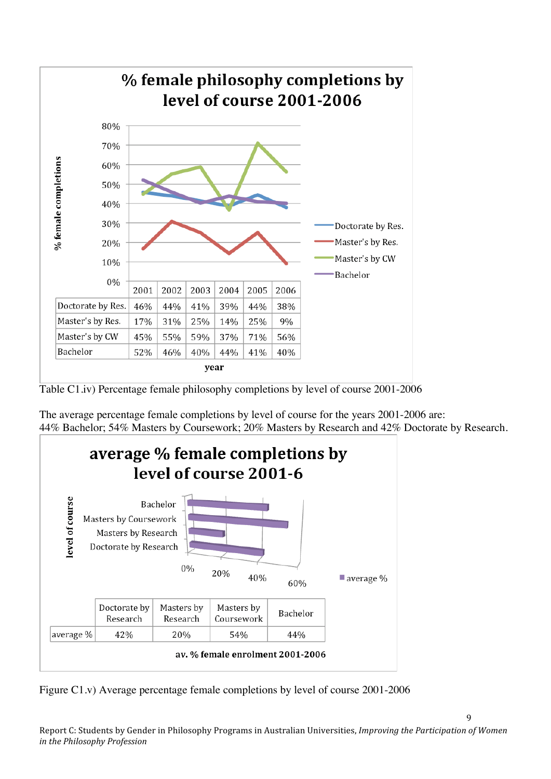

Table C1.iv) Percentage female philosophy completions by level of course 2001-2006

The average percentage female completions by level of course for the years 2001-2006 are: 44% Bachelor; 54% Masters by Coursework; 20% Masters by Research and 42% Doctorate by Research.



Figure C1.v) Average percentage female completions by level of course 2001-2006

 $\overline{Q}$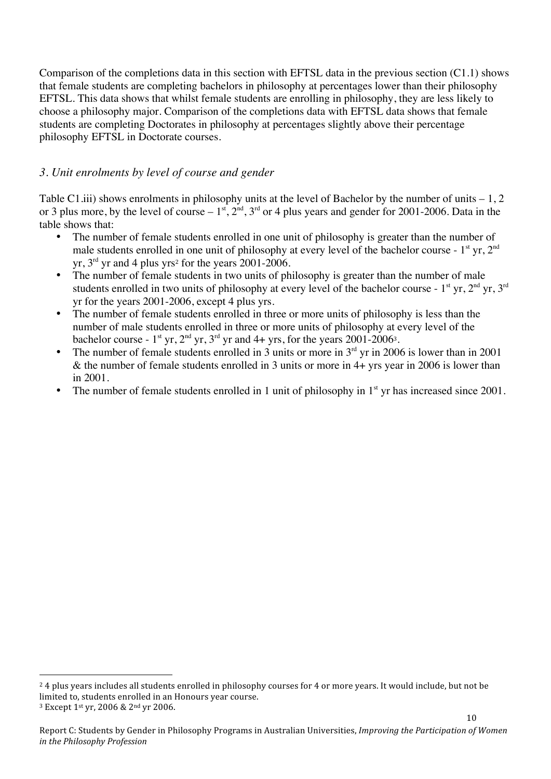Comparison of the completions data in this section with EFTSL data in the previous section (C1.1) shows that female students are completing bachelors in philosophy at percentages lower than their philosophy EFTSL. This data shows that whilst female students are enrolling in philosophy, they are less likely to choose a philosophy major. Comparison of the completions data with EFTSL data shows that female students are completing Doctorates in philosophy at percentages slightly above their percentage philosophy EFTSL in Doctorate courses.

## *3. Unit enrolments by level of course and gender*

Table C1.iii) shows enrolments in philosophy units at the level of Bachelor by the number of units  $-1, 2$ or 3 plus more, by the level of course  $-1^{st}$ ,  $2^{nd}$ ,  $3^{rd}$  or 4 plus years and gender for 2001-2006. Data in the table shows that:

- The number of female students enrolled in one unit of philosophy is greater than the number of male students enrolled in one unit of philosophy at every level of the bachelor course -  $1<sup>st</sup>$  yr,  $2<sup>nd</sup>$ yr,  $3<sup>rd</sup>$  yr and 4 plus yrs<sup>2</sup> for the years 2001-2006.
- The number of female students in two units of philosophy is greater than the number of male students enrolled in two units of philosophy at every level of the bachelor course -  $1<sup>st</sup>$  yr,  $2<sup>nd</sup>$  yr,  $3<sup>rd</sup>$ yr for the years 2001-2006, except 4 plus yrs.
- The number of female students enrolled in three or more units of philosophy is less than the number of male students enrolled in three or more units of philosophy at every level of the bachelor course - 1<sup>st</sup> yr, 2<sup>nd</sup> yr, 3<sup>rd</sup> yr and 4+ yrs, for the years 2001-2006<sup>3</sup>.
- The number of female students enrolled in 3 units or more in  $3<sup>rd</sup>$  yr in 2006 is lower than in 2001 & the number of female students enrolled in 3 units or more in 4+ yrs year in 2006 is lower than in 2001.
- The number of female students enrolled in 1 unit of philosophy in  $1<sup>st</sup>$  yr has increased since 2001.

 $\overline{a}$ 

<sup>&</sup>lt;sup>2</sup> 4 plus years includes all students enrolled in philosophy courses for 4 or more years. It would include, but not be limited to, students enrolled in an Honours year course.

<sup>3</sup> Except 1st yr, 2006 & 2nd yr 2006.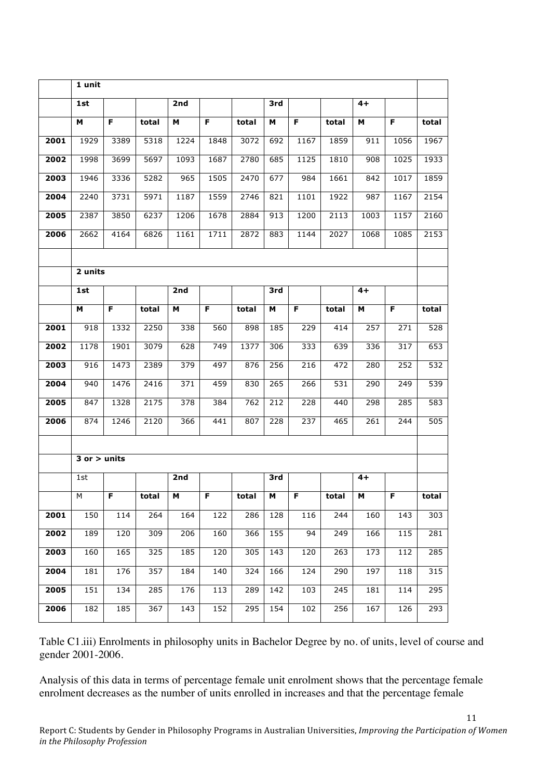|      | 1 unit           |      |       |      |      |       |     |      |       |      |      |       |
|------|------------------|------|-------|------|------|-------|-----|------|-------|------|------|-------|
|      | 1st              |      |       | 2nd  |      |       | 3rd |      |       | $4+$ |      |       |
|      | м                | F.   | total | м    | F.   | total | м   | F.   | total | M    | F.   | total |
| 2001 | 1929             | 3389 | 5318  | 1224 | 1848 | 3072  | 692 | 1167 | 1859  | 911  | 1056 | 1967  |
| 2002 | 1998             | 3699 | 5697  | 1093 | 1687 | 2780  | 685 | 1125 | 1810  | 908  | 1025 | 1933  |
| 2003 | 1946             | 3336 | 5282  | 965  | 1505 | 2470  | 677 | 984  | 1661  | 842  | 1017 | 1859  |
| 2004 | 2240             | 3731 | 5971  | 1187 | 1559 | 2746  | 821 | 1101 | 1922  | 987  | 1167 | 2154  |
| 2005 | 2387             | 3850 | 6237  | 1206 | 1678 | 2884  | 913 | 1200 | 2113  | 1003 | 1157 | 2160  |
| 2006 | 2662             | 4164 | 6826  | 1161 | 1711 | 2872  | 883 | 1144 | 2027  | 1068 | 1085 | 2153  |
|      |                  |      |       |      |      |       |     |      |       |      |      |       |
|      | 2 units          |      |       |      |      |       |     |      |       |      |      |       |
|      | 1st              |      |       | 2nd  |      |       | 3rd |      |       | $4+$ |      |       |
|      | м                | F.   | total | M    | F.   | total | M   | F.   | total | M    | F.   | total |
| 2001 | 918              | 1332 | 2250  | 338  | 560  | 898   | 185 | 229  | 414   | 257  | 271  | 528   |
| 2002 | 1178             | 1901 | 3079  | 628  | 749  | 1377  | 306 | 333  | 639   | 336  | 317  | 653   |
| 2003 | 916              | 1473 | 2389  | 379  | 497  | 876   | 256 | 216  | 472   | 280  | 252  | 532   |
| 2004 | 940              | 1476 | 2416  | 371  | 459  | 830   | 265 | 266  | 531   | 290  | 249  | 539   |
| 2005 | 847              | 1328 | 2175  | 378  | 384  | 762   | 212 | 228  | 440   | 298  | 285  | 583   |
| 2006 | 874              | 1246 | 2120  | 366  | 441  | 807   | 228 | 237  | 465   | 261  | 244  | 505   |
|      |                  |      |       |      |      |       |     |      |       |      |      |       |
|      | $3$ or $>$ units |      |       |      |      |       |     |      |       |      |      |       |
|      | 1st              |      |       | 2nd  |      |       | 3rd |      |       | $4+$ |      |       |
|      | М                | F.   | total | М    | F.   | total | м   | F    | total | M    | F    | total |
| 2001 | 150              | 114  | 264   | 164  | 122  | 286   | 128 | 116  | 244   | 160  | 143  | 303   |
| 2002 | 189              | 120  | 309   | 206  | 160  | 366   | 155 | 94   | 249   | 166  | 115  | 281   |
| 2003 | 160              | 165  | 325   | 185  | 120  | 305   | 143 | 120  | 263   | 173  | 112  | 285   |
| 2004 | 181              | 176  | 357   | 184  | 140  | 324   | 166 | 124  | 290   | 197  | 118  | 315   |
| 2005 | 151              | 134  | 285   | 176  | 113  | 289   | 142 | 103  | 245   | 181  | 114  | 295   |
| 2006 | 182              | 185  | 367   | 143  | 152  | 295   | 154 | 102  | 256   | 167  | 126  | 293   |

Table C1.iii) Enrolments in philosophy units in Bachelor Degree by no. of units, level of course and gender 2001-2006.

Analysis of this data in terms of percentage female unit enrolment shows that the percentage female enrolment decreases as the number of units enrolled in increases and that the percentage female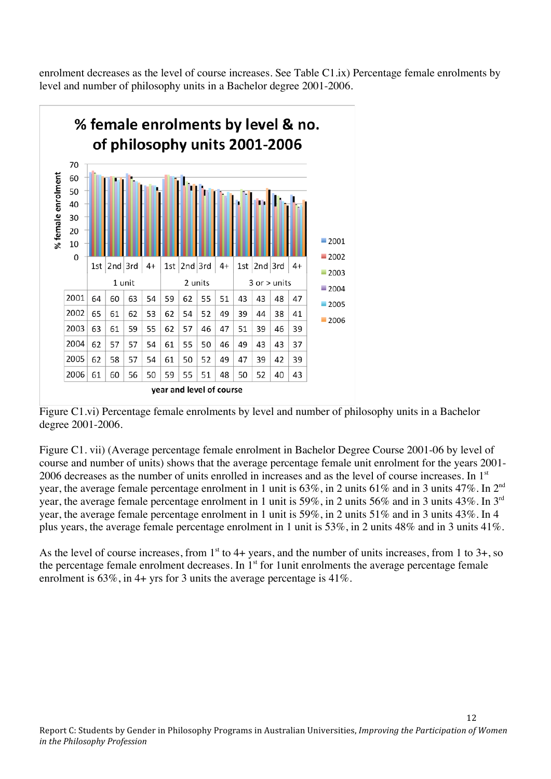enrolment decreases as the level of course increases. See Table C1.ix) Percentage female enrolments by level and number of philosophy units in a Bachelor degree 2001-2006.



Figure C1.vi) Percentage female enrolments by level and number of philosophy units in a Bachelor degree 2001-2006.

Figure C1. vii) (Average percentage female enrolment in Bachelor Degree Course 2001-06 by level of course and number of units) shows that the average percentage female unit enrolment for the years 2001- 2006 decreases as the number of units enrolled in increases and as the level of course increases. In 1<sup>st</sup> year, the average female percentage enrolment in 1 unit is 63%, in 2 units 61% and in 3 units 47%. In 2nd year, the average female percentage enrolment in 1 unit is 59%, in 2 units 56% and in 3 units 43%. In 3rd year, the average female percentage enrolment in 1 unit is 59%, in 2 units 51% and in 3 units 43%. In 4 plus years, the average female percentage enrolment in 1 unit is 53%, in 2 units 48% and in 3 units 41%.

As the level of course increases, from  $1<sup>st</sup>$  to 4+ years, and the number of units increases, from 1 to 3+, so the percentage female enrolment decreases. In  $1<sup>st</sup>$  for 1 unit enrolments the average percentage female enrolment is  $63\%$ , in 4+ yrs for 3 units the average percentage is 41%.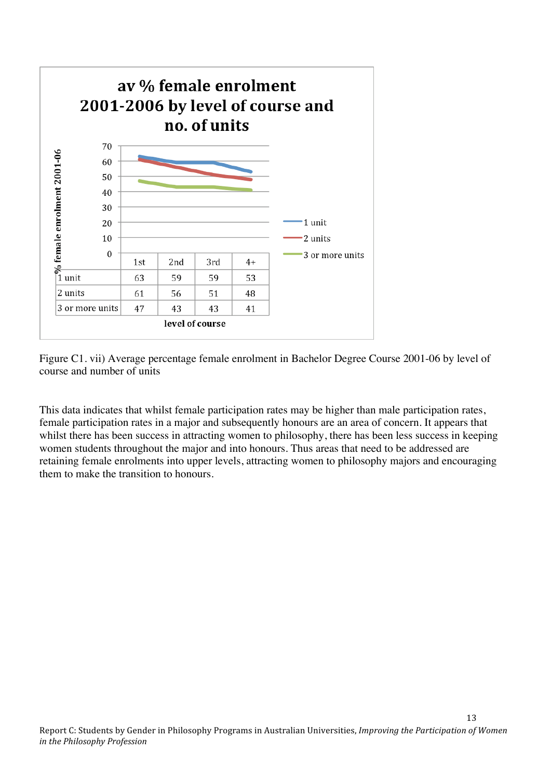

Figure C1. vii) Average percentage female enrolment in Bachelor Degree Course 2001-06 by level of course and number of units

This data indicates that whilst female participation rates may be higher than male participation rates, female participation rates in a major and subsequently honours are an area of concern. It appears that whilst there has been success in attracting women to philosophy, there has been less success in keeping women students throughout the major and into honours. Thus areas that need to be addressed are retaining female enrolments into upper levels, attracting women to philosophy majors and encouraging them to make the transition to honours.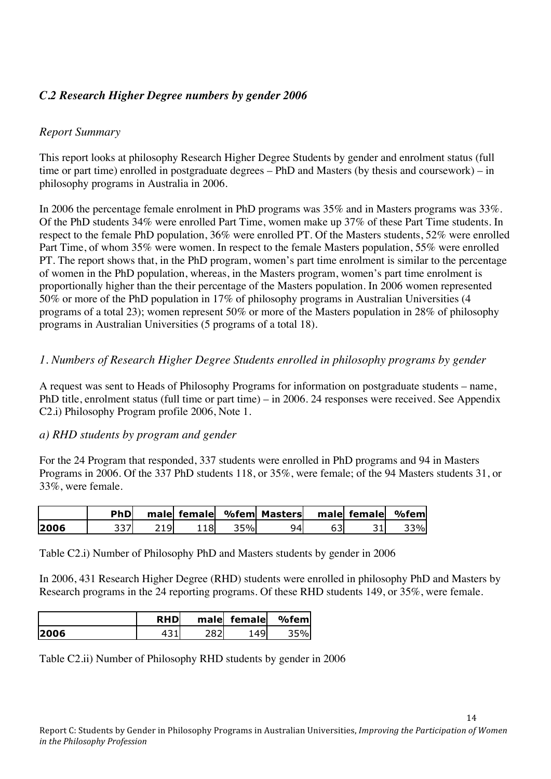# *C.2 Research Higher Degree numbers by gender 2006*

### *Report Summary*

This report looks at philosophy Research Higher Degree Students by gender and enrolment status (full time or part time) enrolled in postgraduate degrees – PhD and Masters (by thesis and coursework) – in philosophy programs in Australia in 2006.

In 2006 the percentage female enrolment in PhD programs was 35% and in Masters programs was 33%. Of the PhD students 34% were enrolled Part Time, women make up 37% of these Part Time students. In respect to the female PhD population, 36% were enrolled PT. Of the Masters students, 52% were enrolled Part Time, of whom 35% were women. In respect to the female Masters population, 55% were enrolled PT. The report shows that, in the PhD program, women's part time enrolment is similar to the percentage of women in the PhD population, whereas, in the Masters program, women's part time enrolment is proportionally higher than the their percentage of the Masters population. In 2006 women represented 50% or more of the PhD population in 17% of philosophy programs in Australian Universities (4 programs of a total 23); women represent 50% or more of the Masters population in 28% of philosophy programs in Australian Universities (5 programs of a total 18).

### *1. Numbers of Research Higher Degree Students enrolled in philosophy programs by gender*

A request was sent to Heads of Philosophy Programs for information on postgraduate students – name, PhD title, enrolment status (full time or part time) – in 2006. 24 responses were received. See Appendix C2.i) Philosophy Program profile 2006, Note 1.

#### *a) RHD students by program and gender*

For the 24 Program that responded, 337 students were enrolled in PhD programs and 94 in Masters Programs in 2006. Of the 337 PhD students 118, or 35%, were female; of the 94 Masters students 31, or 33%, were female.

|      | <b>PhD</b> | male female |     | %fem Masters | male female | $%$ fem |
|------|------------|-------------|-----|--------------|-------------|---------|
| 2006 | JJ 1       |             | 35% | 94l          |             | 3%      |

Table C2.i) Number of Philosophy PhD and Masters students by gender in 2006

In 2006, 431 Research Higher Degree (RHD) students were enrolled in philosophy PhD and Masters by Research programs in the 24 reporting programs. Of these RHD students 149, or 35%, were female.

|      | <b>RHD</b> | malel | female | $%$ fem |
|------|------------|-------|--------|---------|
| 2006 |            |       |        |         |

Table C2.ii) Number of Philosophy RHD students by gender in 2006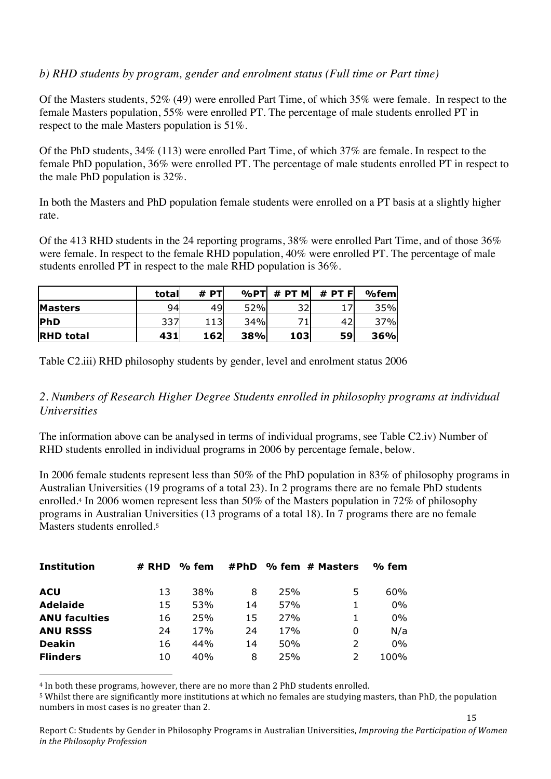## *b) RHD students by program, gender and enrolment status (Full time or Part time)*

Of the Masters students, 52% (49) were enrolled Part Time, of which 35% were female. In respect to the female Masters population, 55% were enrolled PT. The percentage of male students enrolled PT in respect to the male Masters population is 51%.

Of the PhD students, 34% (113) were enrolled Part Time, of which 37% are female. In respect to the female PhD population, 36% were enrolled PT. The percentage of male students enrolled PT in respect to the male PhD population is 32%.

In both the Masters and PhD population female students were enrolled on a PT basis at a slightly higher rate.

Of the 413 RHD students in the 24 reporting programs, 38% were enrolled Part Time, and of those 36% were female. In respect to the female RHD population, 40% were enrolled PT. The percentage of male students enrolled PT in respect to the male RHD population is 36%.

|                  | totall | # $PT$ | %PT        | # PT M | #PTFI | $%$ fem |
|------------------|--------|--------|------------|--------|-------|---------|
| <b>Masters</b>   | 94     | 49     | 52%        | 32     |       | 35%     |
| PhD              | 337    | 112    | 34%        |        | 42    | 37%     |
| <b>RHD</b> total | 431    | 162    | <b>38%</b> | 103    | 59    | 36%     |

Table C2.iii) RHD philosophy students by gender, level and enrolment status 2006

## *2. Numbers of Research Higher Degree Students enrolled in philosophy programs at individual Universities*

The information above can be analysed in terms of individual programs, see Table C2.iv) Number of RHD students enrolled in individual programs in 2006 by percentage female, below.

In 2006 female students represent less than 50% of the PhD population in 83% of philosophy programs in Australian Universities (19 programs of a total 23). In 2 programs there are no female PhD students enrolled.4 In 2006 women represent less than 50% of the Masters population in 72% of philosophy programs in Australian Universities (13 programs of a total 18). In 7 programs there are no female Masters students enrolled.<sup>5</sup>

| <b>Institution</b>   | # RHD | % fem | #PhD |     | % fem # Masters | % fem |
|----------------------|-------|-------|------|-----|-----------------|-------|
| <b>ACU</b>           | 13    | 38%   | 8    | 25% | 5               | 60%   |
| <b>Adelaide</b>      | 15    | 53%   | 14   | 57% | 1               | $0\%$ |
| <b>ANU faculties</b> | 16    | 25%   | 15   | 27% | 1               | $0\%$ |
| <b>ANU RSSS</b>      | 24    | 17%   | 24   | 17% | 0               | N/a   |
| <b>Deakin</b>        | 16    | 44%   | 14   | 50% | 2               | $0\%$ |
| <b>Flinders</b>      | 10    | 40%   | 8    | 25% | $\mathcal{P}$   | 100%  |

4 In both these programs, however, there are no more than 2 PhD students enrolled.

 $\overline{a}$ 

5 Whilst there are significantly more institutions at which no females are studying masters, than PhD, the population numbers in most cases is no greater than 2.

Report C: Students by Gender in Philosophy Programs in Australian Universities, *Improving the Participation of Women in the Philosophy Profession*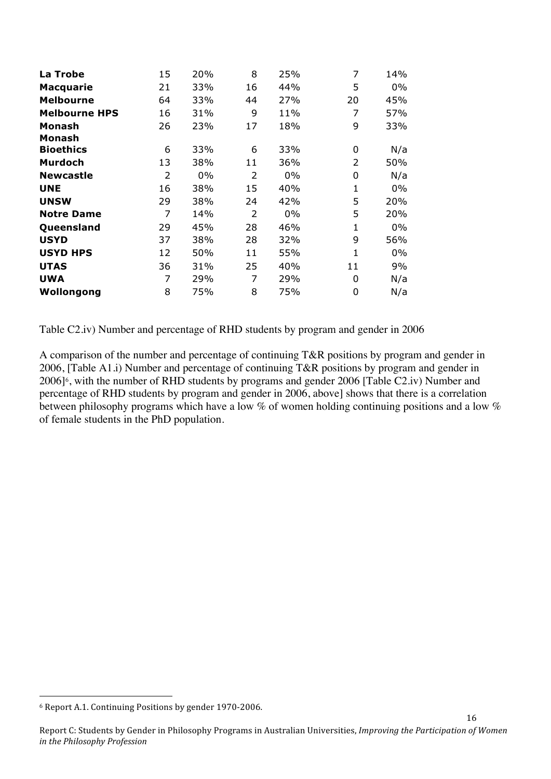| 15 | 20%   | 8  | 25% | 7            | 14%   |
|----|-------|----|-----|--------------|-------|
| 21 | 33%   | 16 | 44% | 5            | $0\%$ |
| 64 | 33%   | 44 | 27% | 20           | 45%   |
| 16 | 31%   | 9  | 11% | 7            | 57%   |
| 26 | 23%   | 17 | 18% | 9            | 33%   |
|    |       |    |     |              |       |
| 6  | 33%   | 6  | 33% | 0            | N/a   |
| 13 | 38%   | 11 | 36% | 2            | 50%   |
| 2  | $0\%$ | 2  | 0%  | 0            | N/a   |
| 16 | 38%   | 15 | 40% | 1            | 0%    |
| 29 | 38%   | 24 | 42% | 5            | 20%   |
| 7  | 14%   | 2  | 0%  | 5            | 20%   |
| 29 | 45%   | 28 | 46% | $\mathbf{1}$ | 0%    |
| 37 | 38%   | 28 | 32% | 9            | 56%   |
| 12 | 50%   | 11 | 55% | 1            | 0%    |
| 36 | 31%   | 25 | 40% | 11           | 9%    |
| 7  | 29%   | 7  | 29% | 0            | N/a   |
| 8  | 75%   | 8  | 75% | 0            | N/a   |
|    |       |    |     |              |       |

Table C2.iv) Number and percentage of RHD students by program and gender in 2006

A comparison of the number and percentage of continuing T&R positions by program and gender in 2006, [Table A1.i) Number and percentage of continuing T&R positions by program and gender in 2006]6, with the number of RHD students by programs and gender 2006 [Table C2.iv) Number and percentage of RHD students by program and gender in 2006, above] shows that there is a correlation between philosophy programs which have a low % of women holding continuing positions and a low % of female students in the PhD population.

 $\overline{a}$ 

<sup>6</sup> Report A.1. Continuing Positions by gender 1970‐2006.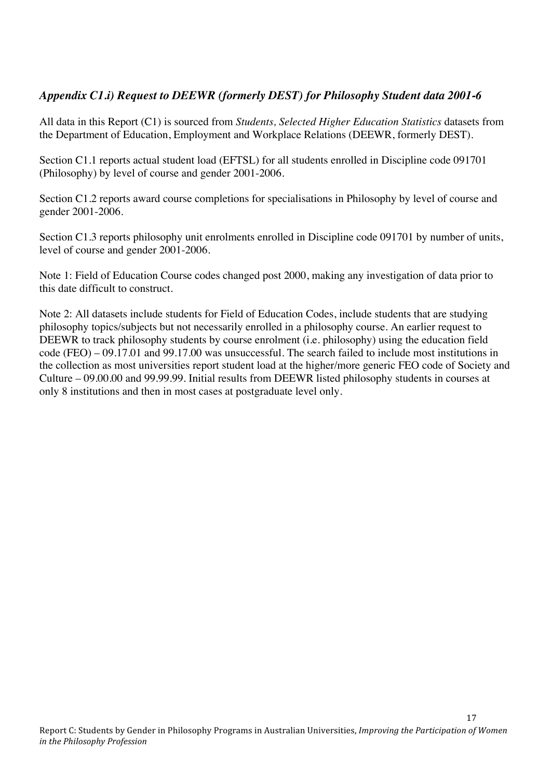# *Appendix C1.i) Request to DEEWR (formerly DEST) for Philosophy Student data 2001-6*

All data in this Report (C1) is sourced from *Students, Selected Higher Education Statistics* datasets from the Department of Education, Employment and Workplace Relations (DEEWR, formerly DEST).

Section C1.1 reports actual student load (EFTSL) for all students enrolled in Discipline code 091701 (Philosophy) by level of course and gender 2001-2006.

Section C1.2 reports award course completions for specialisations in Philosophy by level of course and gender 2001-2006.

Section C1.3 reports philosophy unit enrolments enrolled in Discipline code 091701 by number of units, level of course and gender 2001-2006.

Note 1: Field of Education Course codes changed post 2000, making any investigation of data prior to this date difficult to construct.

Note 2: All datasets include students for Field of Education Codes, include students that are studying philosophy topics/subjects but not necessarily enrolled in a philosophy course. An earlier request to DEEWR to track philosophy students by course enrolment (i.e. philosophy) using the education field code (FEO) – 09.17.01 and 99.17.00 was unsuccessful. The search failed to include most institutions in the collection as most universities report student load at the higher/more generic FEO code of Society and Culture – 09.00.00 and 99.99.99. Initial results from DEEWR listed philosophy students in courses at only 8 institutions and then in most cases at postgraduate level only.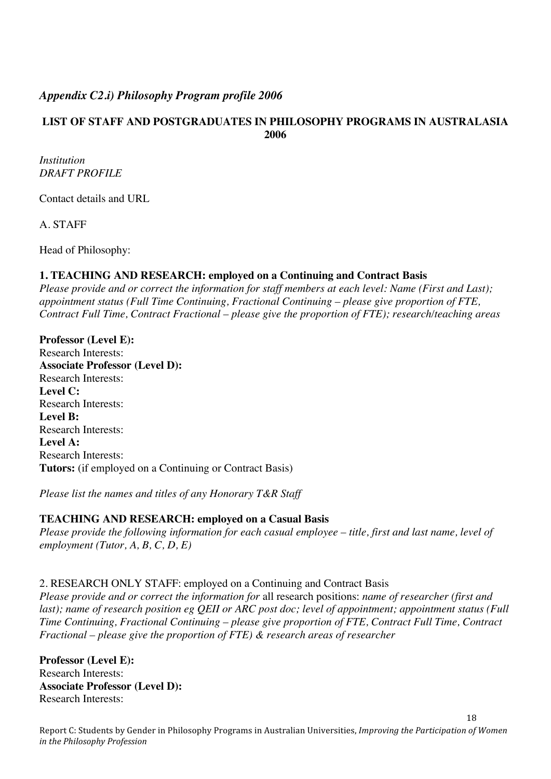## *Appendix C2.i) Philosophy Program profile 2006*

### **LIST OF STAFF AND POSTGRADUATES IN PHILOSOPHY PROGRAMS IN AUSTRALASIA 2006**

*Institution DRAFT PROFILE*

Contact details and URL

A. STAFF

Head of Philosophy:

#### **1. TEACHING AND RESEARCH: employed on a Continuing and Contract Basis**

*Please provide and or correct the information for staff members at each level: Name (First and Last); appointment status (Full Time Continuing, Fractional Continuing – please give proportion of FTE, Contract Full Time, Contract Fractional – please give the proportion of FTE); research/teaching areas*

**Professor (Level E):**  Research Interests: **Associate Professor (Level D):**  Research Interests: **Level C:** Research Interests: **Level B:** Research Interests: **Level A:** Research Interests: **Tutors:** (if employed on a Continuing or Contract Basis)

*Please list the names and titles of any Honorary T&R Staff*

#### **TEACHING AND RESEARCH: employed on a Casual Basis**

*Please provide the following information for each casual employee – title, first and last name, level of employment (Tutor, A, B, C, D, E)*

2. RESEARCH ONLY STAFF: employed on a Continuing and Contract Basis

*Please provide and or correct the information for* all research positions: *name of researcher (first and last); name of research position eg QEII or ARC post doc; level of appointment; appointment status (Full Time Continuing, Fractional Continuing – please give proportion of FTE, Contract Full Time, Contract Fractional – please give the proportion of FTE) & research areas of researcher*

**Professor (Level E):**  Research Interests: **Associate Professor (Level D):**  Research Interests:

Report C: Students by Gender in Philosophy Programs in Australian Universities, *Improving the Participation of Women in the Philosophy Profession*